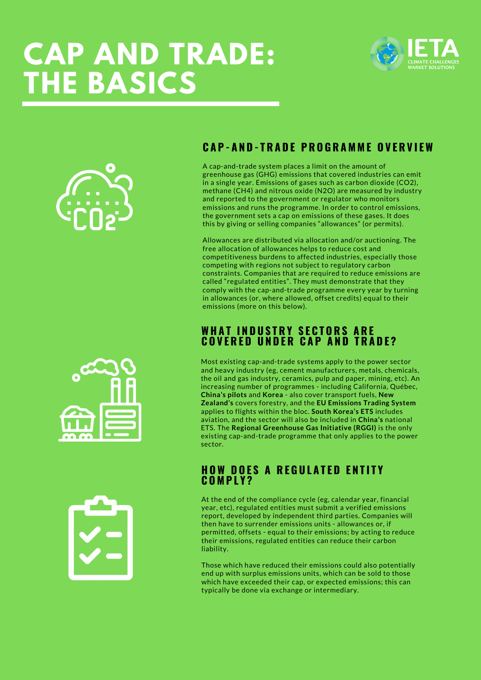# **CAP AND TRADE: THE BASICS**





# **C A P - A N D - T R A D E P R O G R A M M E O V E R V I E W**

A cap-and-trade system places a limit on the amount of greenhouse gas (GHG) emissions that covered industries can emit in a single year. Emissions of gases such as carbon dioxide (CO2), methane (CH4) and nitrous oxide (N2O) are measured by industry and reported to the government or regulator who monitors emissions and runs the programme. In order to control emissions, the government sets a cap on emissions of these gases. It does this by giving or selling companies "allowances" (or permits).

Allowances are distributed via allocation and/or auctioning. The free allocation of allowances helps to reduce cost and competitiveness burdens to affected industries, especially those competing with regions not subject to regulatory carbon constraints. Companies that are required to reduce emissions are called "regulated entities". They must demonstrate that they comply with the cap-and-trade programme every year by turning in allowances (or, where allowed, offset credits) equal to their emissions (more on this below).

### **W H A T I N D U S T R Y S E C T O R S A R E C O V E R E D U N D E R C A P A N D T R A D E ?**

Most existing cap-and-trade systems apply to the power sector and heavy industry (eg, cement manufacturers, metals, chemicals, the oil and gas industry, ceramics, pulp and paper, mining, etc). An increasing number of programmes - including California, Québec, **China's pilots** and **Korea** - also cover transport fuels, **New Zealand's** covers forestry, and the **EU Emissions Trading System** applies to flights within the bloc. **South Korea's ETS** includes aviation, and the sector will also be included in **China's** national ETS. The **Regional Greenhouse Gas Initiative (RGGI)** is the only existing cap-and-trade programme that only applies to the power sector.

#### **H O W D O E S A R E G U L A T E D E N T I T Y C O M P L Y ?**

At the end of the compliance cycle (eg, calendar year, financial year, etc), regulated entities must submit a verified emissions report, developed by independent third parties. Companies will then have to surrender emissions units - allowances or, if permitted, offsets - equal to their emissions; by acting to reduce their emissions, regulated entities can reduce their carbon liability.

Those which have reduced their emissions could also potentially end up with surplus emissions units, which can be sold to those which have exceeded their cap, or expected emissions; this can typically be done via exchange or intermediary.